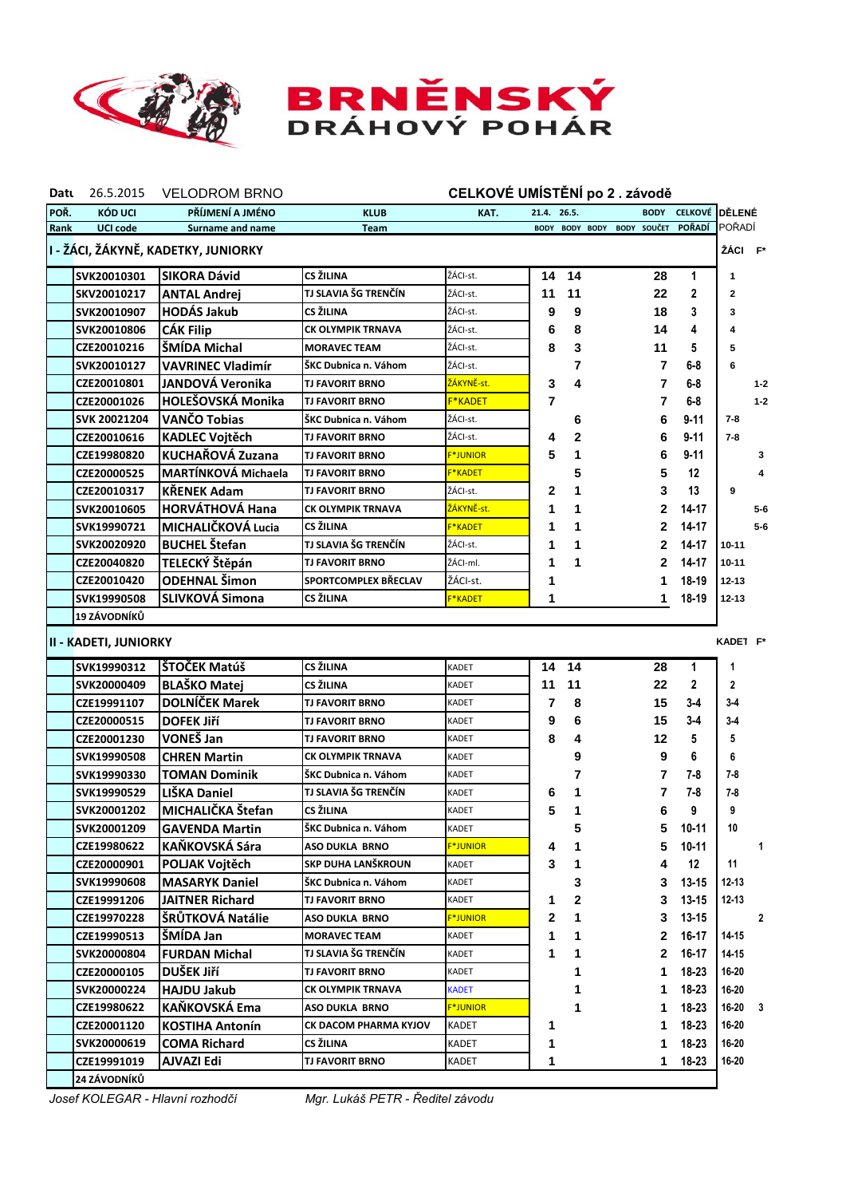

## **BRNĚNSKÝ**<br>DRÁHOVÝ POHÁR

| Datu                                           | 26.5.2015                    | <b>VELODROM BRNO</b>       |                          | CELKOVÉ UMÍSTĚNÍ po 2. závodě |             |                |                    |                |                |         |
|------------------------------------------------|------------------------------|----------------------------|--------------------------|-------------------------------|-------------|----------------|--------------------|----------------|----------------|---------|
| POŘ.                                           | KÓD UCI                      | PŘÍJMENÍ A JMÉNO           | <b>KLUB</b>              | KAT.                          | 21.4. 26.5. |                | <b>BODY</b>        | <b>CELKOVÉ</b> | <b>IDĚLENÉ</b> |         |
| Rank                                           | <b>UCI code</b>              | Surname and name           | <b>Team</b>              |                               |             | BODY BODY BODY | <b>BODY SOUČET</b> | <b>POŘADÍ</b>  | POŘADÍ         |         |
| I - ŽÁCI, ŽÁKYNĚ, KADETKY, JUNIORKY<br>ŽÁCI F* |                              |                            |                          |                               |             |                |                    |                |                |         |
|                                                | SVK20010301                  | <b>SIKORA Dávid</b>        | CS ŽILINA                | ŽÁCI-st.                      | 14          | 14             | 28                 | 1              | 1              |         |
|                                                | SKV20010217                  | <b>ANTAL Andrej</b>        | TJ SLAVIA ŠG TRENČÍN     | ŽÁCI-st.                      | 11          | 11             | 22                 | $\mathbf{2}$   | $\mathbf{2}$   |         |
|                                                | SVK20010907                  | <b>HODÁS Jakub</b>         | CS ŽILINA                | ŽÁCI-st.                      | 9           | 9              | 18                 | 3              | 3              |         |
|                                                | SVK20010806                  | <b>CÁK Filip</b>           | CK OLYMPIK TRNAVA        | ŽÁCI-st.                      | 6           | 8              | 14                 | 4              | 4              |         |
|                                                | <b>CZE20010216</b>           | ŠMÍDA Michal               | <b>MORAVEC TEAM</b>      | ŽÁCI-st.                      | 8           | 3              | 11                 | 5              | 5              |         |
|                                                | SVK20010127                  | <b>VAVRINEC Vladimír</b>   | ŠKC Dubnica n. Váhom     | ŽÁCI-st.                      |             | 7              | 7                  | $6 - 8$        | 6              |         |
|                                                | <b>CZE20010801</b>           | JANDOVÁ Veronika           | <b>TJ FAVORIT BRNO</b>   | ŽÁKYNĚ-st.                    | 3           | 4              | 7                  | 6-8            |                | $1 - 2$ |
|                                                | CZE20001026                  | HOLEŠOVSKÁ Monika          | <b>TJ FAVORIT BRNO</b>   | <b>F*KADET</b>                | 7           |                | 7                  | 6-8            |                | $1 - 2$ |
|                                                | SVK 20021204                 | <b>VANCO Tobias</b>        | ŠKC Dubnica n. Váhom     | ŽÁCI-st.                      |             | 6              | 6                  | $9 - 11$       | $7 - 8$        |         |
|                                                | CZE20010616                  | <b>KADLEC Vojtěch</b>      | <b>TJ FAVORIT BRNO</b>   | ŽÁCI-st.                      | 4           | 2              | 6                  | $9 - 11$       | $7 - 8$        |         |
|                                                | <b>CZE19980820</b>           | KUCHAŘOVÁ Zuzana           | TJ FAVORIT BRNO          | <b>F*JUNIOR</b>               | 5           | 1              | 6                  | $9 - 11$       |                | 3       |
|                                                | CZE20000525                  | <b>MARTÍNKOVÁ Michaela</b> | <b>TJ FAVORIT BRNO</b>   | <b>F*KADET</b>                |             | 5              | 5                  | 12             |                | 4       |
|                                                | CZE20010317                  | <b>KŘENEK Adam</b>         | <b>TJ FAVORIT BRNO</b>   | ŽÁCI-st.                      | 2           | 1              | 3                  | 13             | 9              |         |
|                                                | SVK20010605                  | <b>HORVÁTHOVÁ Hana</b>     | <b>CK OLYMPIK TRNAVA</b> | <u>ŽÁKYNĚ-st.</u>             | 1           | 1              | $\mathbf{2}$       | $14 - 17$      |                | $5 - 6$ |
|                                                | SVK19990721                  | MICHALIČKOVÁ Lucia         | CS ŽILINA                | <b>F*KADET</b>                | 1           | 1              | $\overline{2}$     | 14-17          |                | $5-6$   |
|                                                | SVK20020920                  | <b>BUCHEL Štefan</b>       | TJ SLAVIA ŠG TRENČÍN     | ŽÁCI-st.                      | 1           | 1              | $\mathbf{2}$       | $14 - 17$      | $10 - 11$      |         |
|                                                | CZE20040820                  | TELECKÝ Štěpán             | <b>TJ FAVORIT BRNO</b>   | ŽÁCI-ml.                      | 1           | 1              | $\mathbf{2}$       | 14-17          | $10 - 11$      |         |
|                                                | CZE20010420                  | <b>ODEHNAL Šimon</b>       | SPORTCOMPLEX BŘECLAV     | ŽÁCI-st.                      | 1           |                | 1                  | 18-19          | $12 - 13$      |         |
|                                                | SVK19990508                  | <b>SLIVKOVÁ Simona</b>     | CS ŽILINA                | <b>F*KADET</b>                | 1           |                | 1                  | 18-19          | $12 - 13$      |         |
|                                                | 19 ZÁVODNÍKŮ                 |                            |                          |                               |             |                |                    |                |                |         |
|                                                |                              |                            |                          |                               |             |                |                    |                |                |         |
|                                                | <b>II - KADETI, JUNIORKY</b> |                            |                          |                               |             |                |                    |                | KADE1 F*       |         |
|                                                | SVK19990312                  | ŠTOČEK Matúš               | CS ŽILINA                | KADET                         | 14          | 14             | 28                 | 1              | 1              |         |
|                                                | SVK20000409                  | <b>BLAŠKO Matej</b>        | CS ŽILINA                | KADET                         | 11          | 11             | 22                 | $\mathbf{2}$   | $\overline{2}$ |         |
|                                                | CZE19991107                  | <b>DOLNÍČEK Marek</b>      | <b>TJ FAVORIT BRNO</b>   | KADET                         | 7           | 8              | 15                 | $3 - 4$        | $3-4$          |         |
|                                                | <b>CZE20000515</b>           | <b>DOFEK JIří</b>          | <b>TJ FAVORIT BRNO</b>   | KADET                         | 9           | 6              | 15                 | $3 - 4$        | $3-4$          |         |
|                                                | CZE20001230                  | VONEŠ Jan                  | <b>TJ FAVORIT BRNO</b>   | KADET                         | 8           | 4              | 12                 | 5              | 5              |         |
|                                                | SVK19990508                  | <b>CHREN Martin</b>        | CK OLYMPIK TRNAVA        | KADET                         |             | 9              | 9                  | 6              | 6              |         |
|                                                | SVK19990330                  | <b>TOMAN Dominik</b>       | ŠKC Dubnica n. Váhom     | KADET                         |             | 7              | 7                  | $7 - 8$        | 7-8            |         |
|                                                | SVK19990529                  | LIŠKA Daniel               | TJ SLAVIA ŠG TRENČÍN     | KADET                         | 6           | 1              | 7                  | 7-8            | 7-8            |         |
|                                                | SVK20001202                  | MICHALIČKA Štefan          | CS ŽILINA                | KADET                         | 5           | 1              | 6                  | 9              | 9              |         |
|                                                | SVK20001209                  | <b>GAVENDA Martin</b>      | SKC Dubnica n. Váhom     | KADET                         |             | 5              | 5                  | 10-11          | 10             |         |
|                                                | CZE19980622                  | KAŇKOVSKÁ Sára             | <b>ASO DUKLA BRNO</b>    | <b>F*JUNIOR</b>               | 4           | 1              | 5                  | 10-11          |                | 1       |
|                                                | CZE20000901                  | POLJAK Vojtěch             | SKP DUHA LANŠKROUN       | KADET                         | 3           | 1              | 4                  | 12             | 11             |         |
|                                                | SVK19990608                  | <b>MASARYK Daniel</b>      | ŠKC Dubnica n. Váhom     | KADET                         |             | 3              | 3                  | $13 - 15$      | 12-13          |         |
|                                                | CZE19991206                  | <b>JAITNER Richard</b>     | TJ FAVORIT BRNO          | KADET                         | 1           | 2              | 3                  | 13-15          | 12-13          |         |
|                                                | CZE19970228                  | ŠRŮTKOVÁ Natálie           | ASO DUKLA BRNO           | <b>F*JUNIOR</b>               | 2           | 1              | 3                  | 13-15          |                | 2       |
|                                                | CZE19990513                  | ŠMÍDA Jan                  | <b>MORAVEC TEAM</b>      | KADET                         | 1           | 1              | 2                  | 16-17          | 14-15          |         |
|                                                | SVK20000804                  | <b>FURDAN Michal</b>       | TJ SLAVIA ŠG TRENČÍN     | KADET                         | 1           | 1              | 2                  | 16-17          | 14-15          |         |
|                                                | <b>CZE20000105</b>           | DUŠEK Jiří                 | TJ FAVORIT BRNO          | KADET                         |             | 1              | 1                  | 18-23          | 16-20          |         |
|                                                | SVK20000224                  | <b>HAJDU Jakub</b>         | CK OLYMPIK TRNAVA        | KADET                         |             | 1              | 1                  | 18-23          | 16-20          |         |
|                                                | CZE19980622                  | KAŇKOVSKÁ Ema              | ASO DUKLA BRNO           | <b>F*JUNIOR</b>               |             | 1              | 1.                 | 18-23          | $16-20$ 3      |         |
|                                                | <b>CZE20001120</b>           | <b>KOSTIHA Antonín</b>     | CK DACOM PHARMA KYJOV    | KADET                         | 1           |                | 1                  | 18-23          | 16-20          |         |
|                                                | SVK20000619                  | <b>COMA Richard</b>        | CS ŽILINA                | KADET                         | 1           |                | 1                  | 18-23          | 16-20          |         |
|                                                | CZE19991019                  | AJVAZI Edi                 | <b>TJ FAVORIT BRNO</b>   | KADET                         | 1           |                | 1                  | 18-23          | 16-20          |         |
|                                                | 24 ZÁVODNÍKŮ                 |                            |                          |                               |             |                |                    |                |                |         |

*Josef KOLEGAR - Hlavní rozhodčí Mgr. Lukáš PETR - Ředitel závodu*